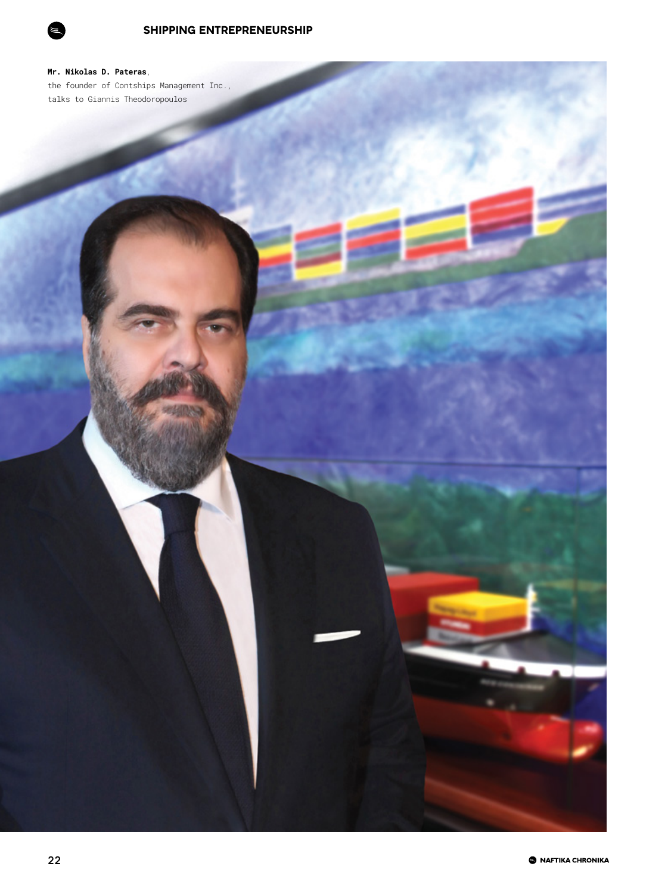

**Mr. Nikolas D. Pateras**, the founder of Contships Management Inc., talks to Giannis Theodoropoulos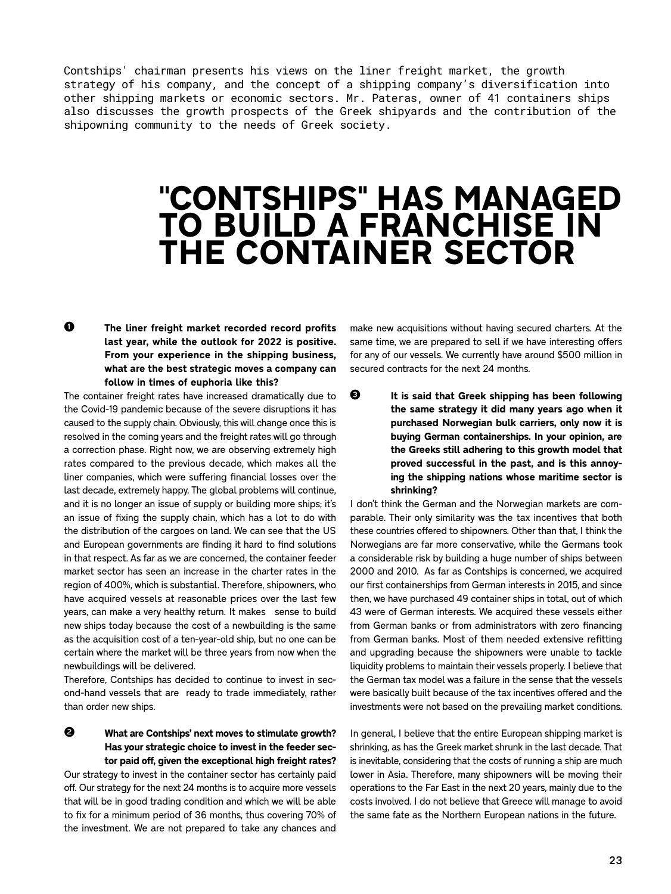Contships' chairman presents his views on the liner freight market, the growth strategy of his company, and the concept of a shipping company's diversification into other shipping markets or economic sectors. Mr. Pateras, owner of 41 containers ships also discusses the growth prospects of the Greek shipyards and the contribution of the shipowning community to the needs of Greek society.

## **''CONTSHIPS'' HAS MANAGED TO BUILD A FRANCHISE IN THE CONTAINER SECTOR**

## **The liner freight market recorded record profits last year, while the outlook for 2022 is positive. From your experience in the shipping business, what are the best strategic moves a company can follow in times of euphoria like this? Ö**

The container freight rates have increased dramatically due to the Covid-19 pandemic because of the severe disruptions it has caused to the supply chain. Obviously, this will change once this is resolved in the coming years and the freight rates will go through a correction phase. Right now, we are observing extremely high rates compared to the previous decade, which makes all the liner companies, which were suffering financial losses over the last decade, extremely happy. The global problems will continue, and it is no longer an issue of supply or building more ships; it's an issue of fixing the supply chain, which has a lot to do with the distribution of the cargoes on land. We can see that the US and European governments are finding it hard to find solutions in that respect. As far as we are concerned, the container feeder market sector has seen an increase in the charter rates in the region of 400%, which is substantial. Therefore, shipowners, who have acquired vessels at reasonable prices over the last few years, can make a very healthy return. It makes sense to build new ships today because the cost of a newbuilding is the same as the acquisition cost of a ten-year-old ship, but no one can be certain where the market will be three years from now when the newbuildings will be delivered.

Therefore, Contships has decided to continue to invest in second-hand vessels that are ready to trade immediately, rather than order new ships.

**What are Contships' next moves to stimulate growth? Has your strategic choice to invest in the feeder sector paid off, given the exceptional high freight rates? á**

Our strategy to invest in the container sector has certainly paid off. Our strategy for the next 24 months is to acquire more vessels that will be in good trading condition and which we will be able to fix for a minimum period of 36 months, thus covering 70% of the investment. We are not prepared to take any chances and

make new acquisitions without having secured charters. At the same time, we are prepared to sell if we have interesting offers for any of our vessels. We currently have around \$500 million in secured contracts for the next 24 months.

**It is said that Greek shipping has been following the same strategy it did many years ago when it purchased Norwegian bulk carriers, only now it is buying German containerships. In your opinion, are the Greeks still adhering to this growth model that proved successful in the past, and is this annoying the shipping nations whose maritime sector is shrinking? â**

I don't think the German and the Norwegian markets are comparable. Their only similarity was the tax incentives that both these countries offered to shipowners. Other than that, I think the Norwegians are far more conservative, while the Germans took a considerable risk by building a huge number of ships between 2000 and 2010. As far as Contships is concerned, we acquired our first containerships from German interests in 2015, and since then, we have purchased 49 container ships in total, out of which 43 were of German interests. We acquired these vessels either from German banks or from administrators with zero financing from German banks. Most of them needed extensive refitting and upgrading because the shipowners were unable to tackle liquidity problems to maintain their vessels properly. I believe that the German tax model was a failure in the sense that the vessels were basically built because of the tax incentives offered and the investments were not based on the prevailing market conditions.

In general, I believe that the entire European shipping market is shrinking, as has the Greek market shrunk in the last decade. That is inevitable, considering that the costs of running a ship are much lower in Asia. Therefore, many shipowners will be moving their operations to the Far East in the next 20 years, mainly due to the costs involved. I do not believe that Greece will manage to avoid the same fate as the Northern European nations in the future.